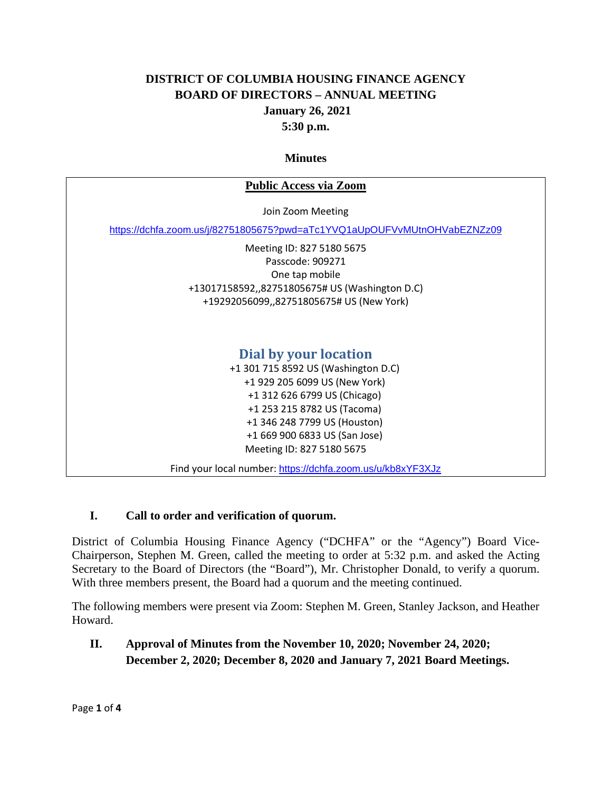## **DISTRICT OF COLUMBIA HOUSING FINANCE AGENCY BOARD OF DIRECTORS – ANNUAL MEETING January 26, 2021 5:30 p.m.**

#### **Minutes**

| <b>Public Access via Zoom</b>                                            |
|--------------------------------------------------------------------------|
| Join Zoom Meeting                                                        |
| https://dchfa.zoom.us/j/82751805675?pwd=aTc1YVQ1aUpOUFVvMUtnOHVabEZNZz09 |
| Meeting ID: 827 5180 5675                                                |
| Passcode: 909271                                                         |
| One tap mobile                                                           |
| +13017158592,,82751805675# US (Washington D.C)                           |
| +19292056099,,82751805675# US (New York)                                 |
| Dial by your location                                                    |
| +1 301 715 8592 US (Washington D.C)                                      |
| +1 929 205 6099 US (New York)                                            |
| +1 312 626 6799 US (Chicago)                                             |
| +1 253 215 8782 US (Tacoma)                                              |
| +1 346 248 7799 US (Houston)                                             |
| +1 669 900 6833 US (San Jose)                                            |
| Meeting ID: 827 5180 5675                                                |
| Find your local number: https://dchfa.zoom.us/u/kb8xYF3XJz               |

#### **I. Call to order and verification of quorum.**

District of Columbia Housing Finance Agency ("DCHFA" or the "Agency") Board Vice-Chairperson, Stephen M. Green, called the meeting to order at 5:32 p.m. and asked the Acting Secretary to the Board of Directors (the "Board"), Mr. Christopher Donald, to verify a quorum. With three members present, the Board had a quorum and the meeting continued.

The following members were present via Zoom: Stephen M. Green, Stanley Jackson, and Heather Howard.

**II. Approval of Minutes from the November 10, 2020; November 24, 2020; December 2, 2020; December 8, 2020 and January 7, 2021 Board Meetings.**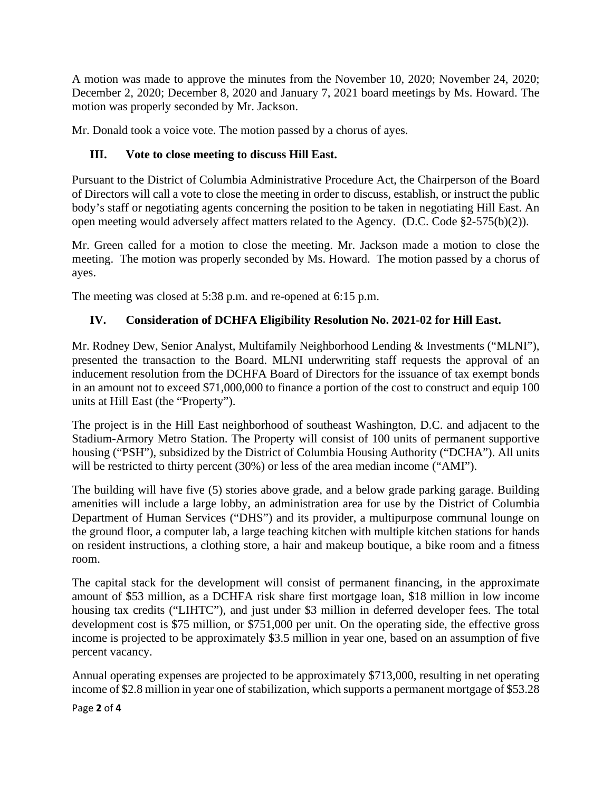A motion was made to approve the minutes from the November 10, 2020; November 24, 2020; December 2, 2020; December 8, 2020 and January 7, 2021 board meetings by Ms. Howard. The motion was properly seconded by Mr. Jackson.

Mr. Donald took a voice vote. The motion passed by a chorus of ayes.

## **III. Vote to close meeting to discuss Hill East.**

Pursuant to the District of Columbia Administrative Procedure Act, the Chairperson of the Board of Directors will call a vote to close the meeting in order to discuss, establish, or instruct the public body's staff or negotiating agents concerning the position to be taken in negotiating Hill East. An open meeting would adversely affect matters related to the Agency. (D.C. Code §2-575(b)(2)).

Mr. Green called for a motion to close the meeting. Mr. Jackson made a motion to close the meeting. The motion was properly seconded by Ms. Howard. The motion passed by a chorus of ayes.

The meeting was closed at 5:38 p.m. and re-opened at 6:15 p.m.

#### **IV. Consideration of DCHFA Eligibility Resolution No. 2021-02 for Hill East.**

Mr. Rodney Dew, Senior Analyst, Multifamily Neighborhood Lending & Investments ("MLNI"), presented the transaction to the Board. MLNI underwriting staff requests the approval of an inducement resolution from the DCHFA Board of Directors for the issuance of tax exempt bonds in an amount not to exceed \$71,000,000 to finance a portion of the cost to construct and equip 100 units at Hill East (the "Property").

The project is in the Hill East neighborhood of southeast Washington, D.C. and adjacent to the Stadium-Armory Metro Station. The Property will consist of 100 units of permanent supportive housing ("PSH"), subsidized by the District of Columbia Housing Authority ("DCHA"). All units will be restricted to thirty percent (30%) or less of the area median income ("AMI").

The building will have five (5) stories above grade, and a below grade parking garage. Building amenities will include a large lobby, an administration area for use by the District of Columbia Department of Human Services ("DHS") and its provider, a multipurpose communal lounge on the ground floor, a computer lab, a large teaching kitchen with multiple kitchen stations for hands on resident instructions, a clothing store, a hair and makeup boutique, a bike room and a fitness room.

The capital stack for the development will consist of permanent financing, in the approximate amount of \$53 million, as a DCHFA risk share first mortgage loan, \$18 million in low income housing tax credits ("LIHTC"), and just under \$3 million in deferred developer fees. The total development cost is \$75 million, or \$751,000 per unit. On the operating side, the effective gross income is projected to be approximately \$3.5 million in year one, based on an assumption of five percent vacancy.

Annual operating expenses are projected to be approximately \$713,000, resulting in net operating income of \$2.8 million in year one of stabilization, which supports a permanent mortgage of \$53.28

Page **2** of **4**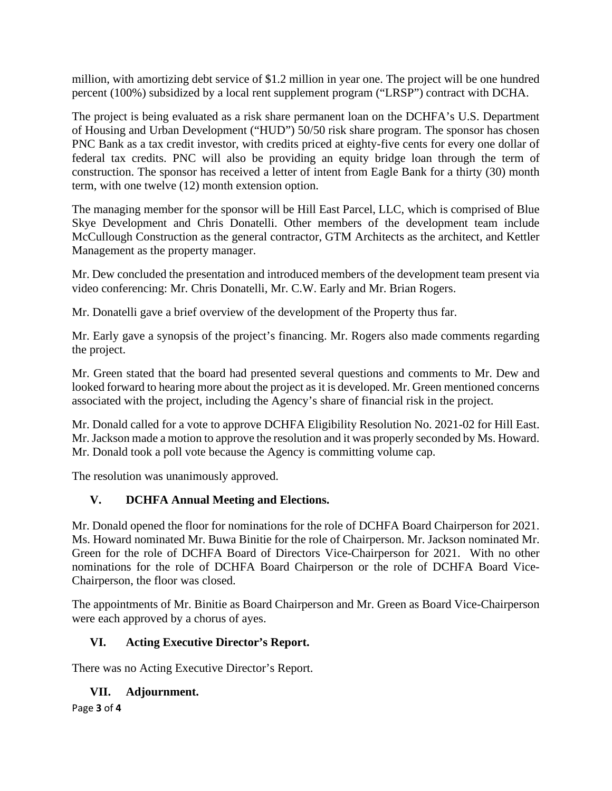million, with amortizing debt service of \$1.2 million in year one. The project will be one hundred percent (100%) subsidized by a local rent supplement program ("LRSP") contract with DCHA.

The project is being evaluated as a risk share permanent loan on the DCHFA's U.S. Department of Housing and Urban Development ("HUD") 50/50 risk share program. The sponsor has chosen PNC Bank as a tax credit investor, with credits priced at eighty-five cents for every one dollar of federal tax credits. PNC will also be providing an equity bridge loan through the term of construction. The sponsor has received a letter of intent from Eagle Bank for a thirty (30) month term, with one twelve (12) month extension option.

The managing member for the sponsor will be Hill East Parcel, LLC, which is comprised of Blue Skye Development and Chris Donatelli. Other members of the development team include McCullough Construction as the general contractor, GTM Architects as the architect, and Kettler Management as the property manager.

Mr. Dew concluded the presentation and introduced members of the development team present via video conferencing: Mr. Chris Donatelli, Mr. C.W. Early and Mr. Brian Rogers.

Mr. Donatelli gave a brief overview of the development of the Property thus far.

Mr. Early gave a synopsis of the project's financing. Mr. Rogers also made comments regarding the project.

Mr. Green stated that the board had presented several questions and comments to Mr. Dew and looked forward to hearing more about the project as it is developed. Mr. Green mentioned concerns associated with the project, including the Agency's share of financial risk in the project.

Mr. Donald called for a vote to approve DCHFA Eligibility Resolution No. 2021-02 for Hill East. Mr. Jackson made a motion to approve the resolution and it was properly seconded by Ms. Howard. Mr. Donald took a poll vote because the Agency is committing volume cap.

The resolution was unanimously approved.

#### **V. DCHFA Annual Meeting and Elections.**

Mr. Donald opened the floor for nominations for the role of DCHFA Board Chairperson for 2021. Ms. Howard nominated Mr. Buwa Binitie for the role of Chairperson. Mr. Jackson nominated Mr. Green for the role of DCHFA Board of Directors Vice-Chairperson for 2021. With no other nominations for the role of DCHFA Board Chairperson or the role of DCHFA Board Vice-Chairperson, the floor was closed.

The appointments of Mr. Binitie as Board Chairperson and Mr. Green as Board Vice-Chairperson were each approved by a chorus of ayes.

# **VI. Acting Executive Director's Report.**

There was no Acting Executive Director's Report.

#### **VII. Adjournment.**

Page **3** of **4**